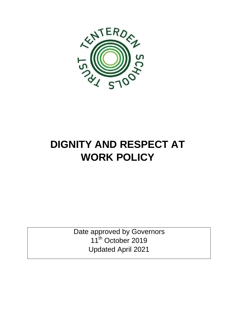

# **DIGNITY AND RESPECT AT WORK POLICY**

Date approved by Governors 11<sup>th</sup> October 2019 Updated April 2021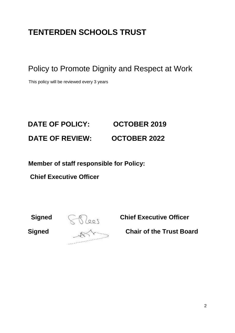# **TENTERDEN SCHOOLS TRUST**

Policy to Promote Dignity and Respect at Work

This policy will be reviewed every 3 years

# **DATE OF POLICY: OCTOBER 2019 DATE OF REVIEW: OCTOBER 2022**

**Member of staff responsible for Policy:** 

**Chief Executive Officer** 

**Signed Chief Executive Officer<br>
Signed Chair of the Trust Boat** 

Signed **Signed** Chair of the Trust Board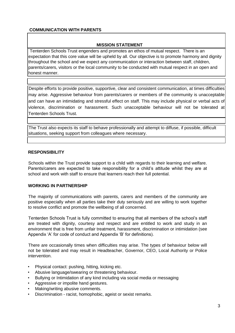## **COMMUNICATION WITH PARENTS**

#### **MISSION STATEMENT**

Tenterden Schools Trust engenders and promotes an ethos of mutual respect. There is an expectation that this core value will be upheld by all. Our objective is to promote harmony and dignity throughout the school and we expect any communication or interaction between staff, children, parents/carers, visitors or the local community to be conducted with mutual respect in an open and honest manner.

Despite efforts to provide positive, supportive, clear and consistent communication, at times difficulties may arise. Aggressive behaviour from parents/carers or members of the community is unacceptable and can have an intimidating and stressful effect on staff. This may include physical or verbal acts of violence, discrimination or harassment. Such unacceptable behaviour will not be tolerated at Tenterden Schools Trust.

The Trust also expects its staff to behave professionally and attempt to diffuse, if possible, difficult situations, seeking support from colleagues where necessary.

#### **RESPONSIBILITY**

Schools within the Trust provide support to a child with regards to their learning and welfare. Parents/carers are expected to take responsibility for a child's attitude whilst they are at school and work with staff to ensure that learners reach their full potential.

#### **WORKING IN PARTNERSHIP**

The majority of communications with parents, carers and members of the community are positive especially when all parties take their duty seriously and are willing to work together to resolve conflict and promote the wellbeing of all concerned.

Tenterden Schools Trust is fully committed to ensuring that all members of the school's staff are treated with dignity, courtesy and respect and are entitled to work and study in an environment that is free from unfair treatment, harassment, discrimination or intimidation (see Appendix 'A' for code of conduct and Appendix 'B' for definitions).

There are occasionally times when difficulties may arise. The types of behaviour below will not be tolerated and may result in Headteacher, Governor, CEO, Local Authority or Police intervention.

- Physical contact: pushing, hitting, kicking etc.
- Abusive language/swearing or threatening behaviour.
- Bullying or Intimidation of any kind including via social media or messaging
- Aggressive or impolite hand gestures.
- Making/writing abusive comments.
- Discrimination racist, homophobic, ageist or sexist remarks.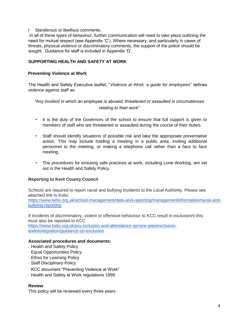Slanderous or libellous comments.

In all of these types of behaviour, further communication will need to take place outlining the need for mutual respect (see Appendix 'C'). Where necessary, and particularly in cases of threats, physical violence or discriminatory comments, the support of the police should be sought. Guidance for staff is included in Appendix 'D'.

## **SUPPORTING HEALTH AND SAFETY AT WORK**

### **Preventing Violence at Work**

The Health and Safety Executive leaflet, "*Violence at Work: a guide for employees*" defines violence against staff as:

# *"Any incident in which an employee is abused, threatened or assaulted in circumstances relating to their work"*

- It is the duty of the Governors of the school to ensure that full support is given to members of staff who are threatened or assaulted during the course of their duties.
- Staff should identify situations of possible risk and take the appropriate preventative action. This may include holding a meeting in a public area, inviting additional personnel to the meeting, or making a telephone call rather than a face to face meeting.
- The procedures for ensuring safe practices at work, including Lone Working, are set out in the Health and Safety Policy.

## **Reporting to Kent County Council**

Schools are required to report racial and bullying incidents to the Local Authority. Please see attached link to Kelsi: [https://www.kelsi.org.uk/school-management/data-and-reporting/managementinformation/racial-and](https://www.kelsi.org.uk/school-management/data-and-reporting/management-information/racial-and-bullying-reporting)[bullying-reporting](https://www.kelsi.org.uk/school-management/data-and-reporting/management-information/racial-and-bullying-reporting)

If incidents of discriminatory, violent or offensive behaviour to KCC result in exclusion/s this must also be reported to KCC

[https://www.kelsi.org.uk/pru-inclusion-and-attendance-service-pias/exclusion](https://www.kelsi.org.uk/pru-inclusion-and-attendance-service-pias/exclusion-and-reintegration/guidance-on-exclusion)[andreintegration/guidance-on-exclusion](https://www.kelsi.org.uk/pru-inclusion-and-attendance-service-pias/exclusion-and-reintegration/guidance-on-exclusion)

#### **Associated procedures and documents:**

- · Health and Safety Policy
- · Equal Opportunities Policy
- · Ethos for Learning Policy
- · Staff Disciplinary Policy
- · KCC document "Preventing Violence at Work"
- · Health and Safety at Work regulations 1999

#### **Review**

This policy will be reviewed every three years.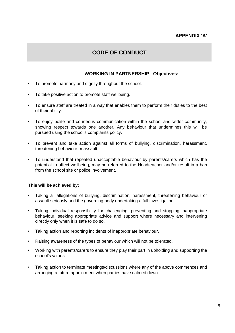# **CODE OF CONDUCT**

## **WORKING IN PARTNERSHIP Objectives:**

- To promote harmony and dignity throughout the school.
- To take positive action to promote staff wellbeing.
- To ensure staff are treated in a way that enables them to perform their duties to the best of their ability.
- To enjoy polite and courteous communication within the school and wider community, showing respect towards one another. Any behaviour that undermines this will be pursued using the school's complaints policy.
- To prevent and take action against all forms of bullying, discrimination, harassment, threatening behaviour or assault.
- To understand that repeated unacceptable behaviour by parents/carers which has the potential to affect wellbeing, may be referred to the Headteacher and/or result in a ban from the school site or police involvement.

## **This will be achieved by:**

- Taking all allegations of bullying, discrimination, harassment, threatening behaviour or assault seriously and the governing body undertaking a full investigation.
- Taking individual responsibility for challenging, preventing and stopping inappropriate behaviour, seeking appropriate advice and support where necessary and intervening directly only when it is safe to do so.
- Taking action and reporting incidents of inappropriate behaviour.
- Raising awareness of the types of behaviour which will not be tolerated.
- Working with parents/carers to ensure they play their part in upholding and supporting the school's values
- Taking action to terminate meetings/discussions where any of the above commences and arranging a future appointment when parties have calmed down.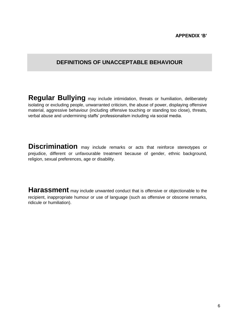# **DEFINITIONS OF UNACCEPTABLE BEHAVIOUR**

**Regular Bullying** may include intimidation, threats or humiliation, deliberately isolating or excluding people, unwarranted criticism, the abuse of power, displaying offensive material, aggressive behaviour (including offensive touching or standing too close), threats, verbal abuse and undermining staffs' professionalism including via social media.

**Discrimination** may include remarks or acts that reinforce stereotypes or prejudice, different or unfavourable treatment because of gender, ethnic background, religion, sexual preferences, age or disability.

**Harassment** may include unwanted conduct that is offensive or objectionable to the recipient, inappropriate humour or use of language (such as offensive or obscene remarks, ridicule or humiliation).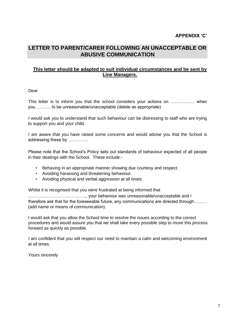# **LETTER TO PARENT/CARER FOLLOWING AN UNACCEPTABLE OR ABUSIVE COMMUNICATION**

## **This letter should be adapted to suit individual circumstances and be sent by Line Managers.**

Dear

This letter is to inform you that the school considers your actions on …………….. when you……….. to be unreasonable/unacceptable (delete as appropriate)

I would ask you to understand that such behaviour can be distressing to staff who are trying to support you and your child.

I am aware that you have raised some concerns and would advise you that the School is addressing these by …………..

Please note that the School's Policy sets out standards of behaviour expected of all people in their dealings with the School. These include:-

- Behaving in an appropriate manner showing due courtesy and respect.
- Avoiding harassing and threatening behaviour.
- Avoiding physical and verbal aggression at all times.

Whilst it is recognised that you were frustrated at being informed that

…………………………………., your behaviour was unreasonable/unacceptable and I therefore ask that for the foreseeable future, any communications are directed through……… (add name or means of communication).

I would ask that you allow the School time to resolve the issues according to the correct procedures and would assure you that we shall take every possible step to move this process forward as quickly as possible.

I am confident that you will respect our need to maintain a calm and welcoming environment at all times.

Yours sincerely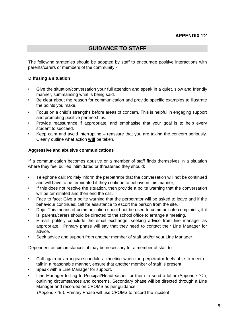# **GUIDANCE TO STAFF**

The following strategies should be adopted by staff to encourage positive interactions with parents/carers or members of the community:-

### **Diffusing a situation**

- Give the situation/conversation your full attention and speak in a quiet, slow and friendly manner, summarising what is being said.
- Be clear about the reason for communication and provide specific examples to illustrate the points you make.
- Focus on a child's strengths before areas of concern. This is helpful in engaging support and promoting positive partnerships.
- Provide reassurance if appropriate, and emphasise that your goal is to help every student to succeed.
- Keep calm and avoid interrupting reassure that you are taking the concern seriously. Clearly outline what action **will** be taken.

### **Aggressive and abusive communications**

If a communication becomes abusive or a member of staff finds themselves in a situation where they feel bullied intimidated or threatened they should:

- Telephone call: Politely inform the perpetrator that the conversation will not be continued and will have to be terminated if they continue to behave in this manner;
- If this does not resolve the situation, then provide a polite warning that the conversation will be terminated and then end the call.
- Face to face: Give a polite warning that the perpetrator will be asked to leave and if the behaviour continues; call for assistance to escort the person from the site.
- Dojo: This means of communication should not be used to communicate complaints, if it is, parents/carers should be directed to the school office to arrange a meeting.
- E-mail: politely conclude the email exchange, seeking advice from line manager as appropriate. Primary phase will say that they need to contact their Line Manager for advice.
- Seek advice and support from another member of staff and/or your Line Manager.

Dependent on circumstances, it may be necessary for a member of staff to:-

- Call again or arrange/reschedule a meeting when the perpetrator feels able to meet or talk in a reasonable manner, ensure that another member of staff is present.
- Speak with a Line Manager for support.
- Line Manager to flag to Principal/Headteacher for them to send a letter (Appendix 'C'), outlining circumstances and concerns. Secondary phase will be directed through a Line Manager and recorded on CPOMS as per guidance –

(Appendix 'E'). Primary Phase will use CPOMS to record the incident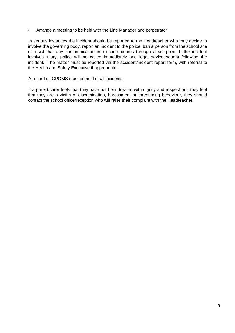• Arrange a meeting to be held with the Line Manager and perpetrator

In serious instances the incident should be reported to the Headteacher who may decide to involve the governing body, report an incident to the police, ban a person from the school site or insist that any communication into school comes through a set point. If the incident involves injury, police will be called immediately and legal advice sought following the incident. The matter must be reported via the accident/incident report form, with referral to the Health and Safety Executive if appropriate.

A record on CPOMS must be held of all incidents.

If a parent/carer feels that they have not been treated with dignity and respect or if they feel that they are a victim of discrimination, harassment or threatening behaviour, they should contact the school office/reception who will raise their complaint with the Headteacher.